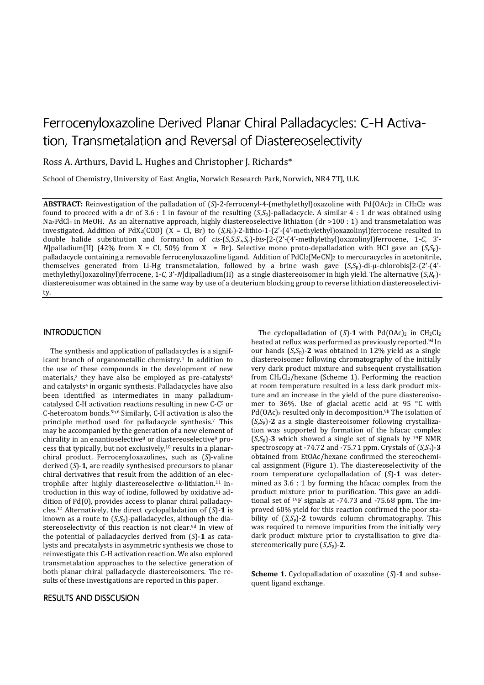# Ferrocenyloxazoline Derived Planar Chiral P alladacycles: C-H Activation, Transmetalation and Reversal of Diastereoselectivity

Ross A. Arthurs, David L. Hughes and Christopher J. Richards\*

School of Chemistry, University of East Anglia, Norwich Research Park, Norwich, NR4 7TJ, U.K.

ABSTRACT: Reinvestigation of the palladation of (*S*)-2-ferrocenyl-4-(methylethyl)oxazoline with Pd(OAc)<sub>2</sub> in CH<sub>2</sub>Cl<sub>2</sub> was found to proceed with a dr of 3.6 : 1 in favour of the resulting  $(S, S_p)$ -palladacycle. A similar 4 : 1 dr was obtained using Na<sub>2</sub>PdCl<sub>4</sub> in MeOH. As an alternative approach, highly diastereoselective lithiation (dr >100 : 1) and transmetalation was investigated. Addition of PdX2(COD) (X = Cl, Br) to (*S*,*R*p)-2-lithio-1-(2'-(4'-methylethyl)oxazolinyl)ferrocene resulted in double halide substitution and formation of *cis*-(*S*,*S*,*S*p,*S*p)-*bis*-[2-(2'-(4'-methylethyl)oxazolinyl)ferrocene, 1-*C*, 3'- *N*]palladium(II) (42% from X = Cl, 50% from X = Br). Selective mono proto-depalladation with HCl gave an  $(S, S_p)$ palladacycle containing a removable ferrocenyloxazoline ligand. Addition of  $PdCl<sub>2</sub>(MeCN)<sub>2</sub>$  to mercuracycles in acetonitrile, themselves generated from Li-Hg transmetalation, followed by a brine wash gave (*S*,*S*p)-di-μ-chlorobis[2-(2'-(4' methylethyl)oxazolinyl)ferrocene, 1-*C*, 3'-*N*]dipalladium(II) as a single diastereoisomer in high yield. The alternative (*S*,*R*p) diastereoisomer was obtained in the same way by use of a deuterium blocking group to reverse lithiation diastereoselectivity.

#### **INTRODUCTION**

The synthesis and application of palladacycles is a significant branch of organometallic chemistry.<sup>1</sup> In addition to the use of these compounds in the development of new materials,<sup>2</sup> they have also be employed as pre-catalysts<sup>3</sup> and catalysts<sup>4</sup> in organic synthesis. Palladacycles have also been identified as intermediates in many palladiumcatalysed C-H activation reactions resulting in new C-C5 or C-heteroatom bonds.5b,6 Similarly, C-H activation is also the principle method used for palladacycle synthesis.7 This may be accompanied by the generation of a new element of chirality in an enantioselective<sup>8</sup> or diastereoselective<sup>9</sup> process that typically, but not exclusively,10 results in a planarchiral product. Ferrocenyloxazolines, such as (*S*)-valine derived (*S*)-**1**, are readily synthesised precursors to planar chiral derivatives that result from the addition of an electrophile after highly diastereoselective  $\alpha$ -lithiation.<sup>11</sup> Introduction in this way of iodine, followed by oxidative addition of Pd(0), provides access to planar chiral palladacycles.12 Alternatively, the direct cyclopalladation of (*S*)-**1** is known as a route to (*S*,*S*p)-palladacycles, although the diastereoselectivity of this reaction is not clear.<sup>9d</sup> In view of the potential of palladacycles derived from (*S*)-**1** as catalysts and precatalysts in asymmetric synthesis we chose to reinvestigate this C-H activation reaction. We also explored transmetalation approaches to the selective generation of both planar chiral palladacycle diastereoisomers. The results of these investigations are reported in this paper.

#### RESULTS AND DISSCUSION

The cyclopalladation of  $(S)$ -1 with Pd(OAc)<sub>2</sub> in CH<sub>2</sub>Cl<sub>2</sub> heated at reflux was performed as previously reported.<sup>9d</sup> In our hands (*S*,*S*p)-**2** was obtained in 12% yield as a single diastereoisomer following chromatography of the initially very dark product mixture and subsequent crystallisation from CH2Cl2/hexane (Scheme 1). Performing the reaction at room temperature resulted in a less dark product mixture and an increase in the yield of the pure diastereoisomer to 36%. Use of glacial acetic acid at 95 °C with  $Pd(OAc)_2$  resulted only in decomposition.<sup>9b</sup> The isolation of (*S*,*S*p)-**2** as a single diastereoisomer following crystallization was supported by formation of the hfacac complex  $(S, S_p)$ -3 which showed a single set of signals by <sup>19</sup>F NMR spectroscopy at -74.72 and -75.71 ppm. Crystals of (*S*,*S*p)-**3** obtained from EtOAc/hexane confirmed the stereochemical assignment (Figure 1). The diastereoselectivity of the room temperature cyclopalladation of (*S*)-**1** was determined as 3.6 : 1 by forming the hfacac complex from the product mixture prior to purification. This gave an additional set of 19F signals at -74.73 and -75.68 ppm. The improved 60% yield for this reaction confirmed the poor stability of (*S*,*S*p)-**2** towards column chromatography. This was required to remove impurities from the initially very dark product mixture prior to crystallisation to give diastereomerically pure  $(S, S_p)$ -2.

**Scheme 1.** Cyclopalladation of oxazoline (*S*)-**1** and subsequent ligand exchange.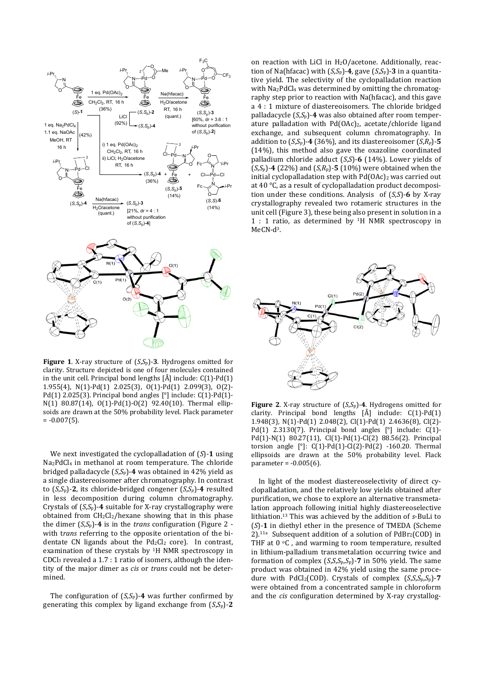

**Figure 1**. X-ray structure of (*S*,*S*p)-**3**. Hydrogens omitted for clarity. Structure depicted is one of four molecules contained in the unit cell. Principal bond lengths [Å] include: C(1)-Pd(1) 1.955(4), N(1)-Pd(1) 2.025(3), O(1)-Pd(1) 2.099(3), O(2)- Pd(1) 2.025(3). Principal bond angles [°] include: C(1)-Pd(1)- N(1) 80.87(14), O(1)-Pd(1)-O(2) 92.40(10). Thermal ellipsoids are drawn at the 50% probability level. Flack parameter  $= -0.007(5)$ .

We next investigated the cyclopalladation of (*S*)-**1** using Na2PdCl4 in methanol at room temperature. The chloride bridged palladacycle (*S*,*S*p)-**4** was obtained in 42% yield as a single diastereoisomer after chromatography. In contrast to  $(S, S_p)$ -2, its chloride-bridged congener  $(S, S_p)$ -4 resulted in less decomposition during column chromatography. Crystals of  $(S, S_p)$ -4 suitable for X-ray crystallography were obtained from  $CH_2Cl_2/h$ exane showing that in this phase the dimer  $(S, S_p)$ -4 is in the *trans* configuration (Figure 2 with t*rans* referring to the opposite orientation of the bidentate CN ligands about the  $Pd_2Cl_2$  core). In contrast, examination of these crystals by 1H NMR spectroscopy in  $CDCl<sub>3</sub>$  revealed a 1.7 : 1 ratio of isomers, although the identity of the major dimer as *cis* or *trans* could not be determined.

The configuration of  $(S,S_p)$ -4 was further confirmed by generating this complex by ligand exchange from (*S*,*S*p)-**2**

on reaction with LiCl in  $H<sub>2</sub>O/ace$ tone. Additionally, reaction of Na(hfacac) with (*S*,*S*p)-**4**, gave (*S*,*S*p)-**3** in a quantitative yield. The selectivity of the cyclopalladation reaction with Na<sub>2</sub>PdCl<sub>4</sub> was determined by omitting the chromatography step prior to reaction with Na(hfacac), and this gave a 4 : 1 mixture of diastereoisomers. The chloride bridged palladacycle (*S*,*S*p)-**4** was also obtained after room temperature palladation with Pd(OAc)2, acetate/chloride ligand exchange, and subsequent column chromatography. In addition to  $(S,S_n)$ -4 (36%), and its diastereoisomer  $(S,R_n)$ -5 (14%), this method also gave the oxazoline coordinated palladium chloride adduct (*S*,*S*)-**6** (14%). Lower yields of  $(S, S_p)$ -4 (22%) and  $(S, R_p)$ -5 (10%) were obtained when the initial cyclopalladation step with Pd(OAc)<sub>2</sub> was carried out at 40 °C, as a result of cyclopalladation product decomposition under these conditions. Analysis of (*S*,*S*)-**6** by X-ray crystallography revealed two rotameric structures in the unit cell (Figure 3), these being also present in solution in a 1 : 1 ratio, as determined by 1H NMR spectroscopy in  $MeCN-<sub>13</sub>$ 



**Figure 2**. X-ray structure of (*S*,*S*p)-**4**. Hydrogens omitted for clarity. Principal bond lengths [Å] include: C(1)-Pd(1) 1.948(3), N(1)-Pd(1) 2.048(2), Cl(1)-Pd(1) 2.4636(8), Cl(2)- Pd(1) 2.3130(7). Principal bond angles [°] include: C(1)- Pd(1)-N(1) 80.27(11), Cl(1)-Pd(1)-Cl(2) 88.56(2). Principal torsion angle [°]: C(1)-Pd(1)-Cl(2)-Pd(2) -160.20. Thermal ellipsoids are drawn at the 50% probability level. Flack parameter =  $-0.005(6)$ .

In light of the modest diastereoselectivity of direct cyclopalladation, and the relatively low yields obtained after purification, we chose to explore an alternative transmetalation approach following initial highly diastereoselective lithiation.13 This was achieved by the addition of *s*-BuLi to (*S*)-**1** in diethyl ether in the presence of TMEDA (Scheme  $2$ ).<sup>11a</sup> Subsequent addition of a solution of PdBr<sub>2</sub>(COD) in THF at  $0 \text{ }^{\circ}$ C, and warming to room temperature, resulted in lithium-palladium transmetalation occurring twice and formation of complex (*S*,*S*,*S*p,*S*p)-**7** in 50% yield. The same product was obtained in 42% yield using the same procedure with PdCl2(COD). Crystals of complex (*S*,*S*,*S*p,*S*p)-**7** were obtained from a concentrated sample in chloroform and the *cis* configuration determined by X-ray crystallog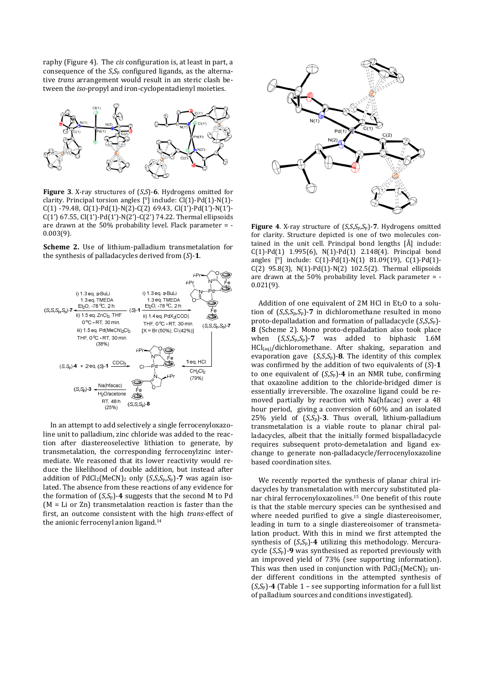raphy (Figure 4). The *cis* configuration is, at least in part, a consequence of the *S*,*S*p configured ligands, as the alternative *trans* arrangement would result in an steric clash between the *iso-*propyl and iron-cyclopentadienyl moieties.



**Figure 3**. X-ray structures of (*S*,*S*)-**6**. Hydrogens omitted for clarity. Principal torsion angles [°] include: Cl(1)-Pd(1)-N(1)- C(1) -79.48, Cl(1)-Pd(1)-N(2)-C(2) 69.43, Cl(1')-Pd(1')-N(1')- C(1') 67.55, Cl(1')-Pd(1')-N(2')-C(2') 74.22. Thermal ellipsoids are drawn at the 50% probability level. Flack parameter = - 0.003(9).

**Scheme 2.** Use of lithium-palladium transmetalation for the synthesis of palladacycles derived from (*S*)-**1**.



In an attempt to add selectively a single ferrocenyloxazoline unit to palladium, zinc chloride was added to the reaction after diastereoselective lithiation to generate, by transmetalation, the corresponding ferrocenylzinc intermediate. We reasoned that its lower reactivity would reduce the likelihood of double addition, but instead after addition of PdCl2(MeCN)2 only (*S*,*S*,*S*p,*S*p)-**7** was again isolated. The absence from these reactions of any evidence for the formation of  $(S, S_p)$ -4 suggests that the second M to Pd (M = Li or Zn) transmetalation reaction is faster than the first, an outcome consistent with the high *trans-*effect of the anionic ferrocenyl anion ligand.<sup>14</sup>



**Figure 4**. X-ray structure of (*S*,*S*,*S*p,*S*p)-**7**. Hydrogens omitted for clarity. Structure depicted is one of two molecules contained in the unit cell. Principal bond lengths [Å] include: C(1)-Pd(1) 1.995(6), N(1)-Pd(1) 2.148(4). Principal bond angles [°] include: C(1)-Pd(1)-N(1) 81.09(19), C(1)-Pd(1)- C(2) 95.8(3), N(1)-Pd(1)-N(2) 102.5(2). Thermal ellipsoids are drawn at the 50% probability level. Flack parameter = - 0.021(9).

Addition of one equivalent of  $2M$  HCl in Et<sub>2</sub>O to a solution of  $(S, S, S_p, S_p)$ -7 in dichloromethane resulted in mono proto-depalladation and formation of palladacycle (*S*,*S*,*S*p)- **8** (Scheme 2). Mono proto-depalladation also took place when (*S*,*S*,*S*p,*S*p)-**7** was added to biphasic 1.6M HCl<sub>(aq)</sub>/dichloromethane. After shaking, separation and evaporation gave  $(S,S,S_p)$ -8. The identity of this complex was confirmed by the addition of two equivalents of (*S*)-**1** to one equivalent of (*S*,*S*p)-**4** in an NMR tube, confirming that oxazoline addition to the chloride-bridged dimer is essentially irreversible. The oxazoline ligand could be removed partially by reaction with Na(hfacac) over a 48 hour period, giving a conversion of 60% and an isolated 25% yield of (*S*,*S*p)-**3**. Thus overall, lithium-palladium transmetalation is a viable route to planar chiral palladacycles, albeit that the initially formed bispalladacycle requires subsequent proto-demetalation and ligand exchange to generate non-palladacycle/ferrocenyloxazoline based coordination sites.

We recently reported the synthesis of planar chiral iridacycles by transmetalation with mercury substituted planar chiral ferrocenyloxazolines.<sup>15</sup> One benefit of this route is that the stable mercury species can be synthesised and where needed purified to give a single diastereoisomer, leading in turn to a single diastereoisomer of transmetalation product. With this in mind we first attempted the synthesis of  $(S, S_p)$ -4 utilizing this methodology. Mercuracycle (*S*,*S*p)-**9** was synthesised as reported previously with an improved yield of 73% (see supporting information). This was then used in conjunction with  $PdCl<sub>2</sub>(MeCN)<sub>2</sub>$  under different conditions in the attempted synthesis of  $(S, S_p)$ -4 (Table 1 – see supporting information for a full list of palladium sources and conditions investigated).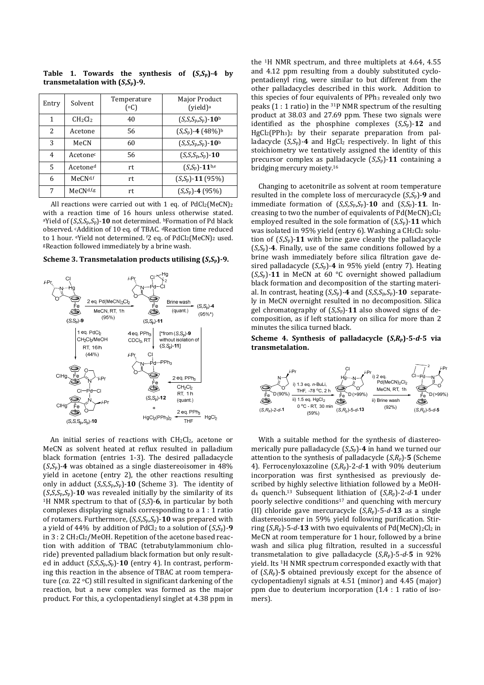Table 1. Towards the synthesis of  $(S, S_p)$ -4 by **transmetalation with (***S***,***S***p)-9.** 

| Entry | Solvent                         | Temperature<br>(°C) | Major Product<br>(vield) <sup>a</sup> |
|-------|---------------------------------|---------------------|---------------------------------------|
| 1     | CH <sub>2</sub> Cl <sub>2</sub> | 40                  | $(S, S, S_p, S_p) - 10^b$             |
| 2     | Acetone                         | 56                  | $(S,S_p)$ -4 (48%) <sup>b</sup>       |
| 3     | MeCN                            | 60                  | $(S, S, S_p, S_p)$ -10 <sup>b</sup>   |
| 4     | Acetone <sup>c</sup>            | 56                  | $(S,S_p,S_p)$ -10                     |
| 5     | Acetone <sup>d</sup>            | rt                  | $(S,S_p)$ -11 <sup>b,e</sup>          |
| 6     | MeCN <sup>d,f</sup>             | rt                  | $(S,S_p)$ -11 (95%)                   |
| 7     | MeCN <sub>d,fg</sub>            | rt                  | $(S,S_p)$ -4 (95%)                    |

All reactions were carried out with 1 eq. of  $PdCl_2(MeCN)_2$ with a reaction time of 16 hours unless otherwise stated. <sup>a</sup>Yield of (*S*,*S*,*S*p,*S*p)-**10** not determined. bFormation of Pd black observed. cAddition of 10 eq. of TBAC. dReaction time reduced to 1 hour. eYield not determined. <sup>f2</sup> eq. of PdCl<sub>2</sub>(MeCN)<sub>2</sub> used. <sup>g</sup>Reaction followed immediately by a brine wash.

**Scheme 3. Transmetalation products utilising (***S***,***S***p)-9.** 



An initial series of reactions with CH<sub>2</sub>Cl<sub>2</sub>, acetone or MeCN as solvent heated at reflux resulted in palladium black formation (entries 1-3). The desired palladacycle (*S*,*S*p)-**4** was obtained as a single diastereoisomer in 48% yield in acetone (entry 2), the other reactions resulting only in adduct (*S*,*S*,*S*p,*S*p)-**10** (Scheme 3). The identity of  $(S, S, S_p, S_p)$ -10 was revealed initially by the similarity of its <sup>1</sup>H NMR spectrum to that of (*S*,*S*)-**6**, in particular by both complexes displaying signals corresponding to a 1 : 1 ratio of rotamers. Furthermore, (*S*,*S*,*S*p,*S*p)-**10** was prepared with a yield of 44% by addition of  $PdCl_2$  to a solution of  $(S,S_p)$ -9 in 3 : 2 CH2Cl2/MeOH. Repetition of the acetone based reaction with addition of TBAC (tetrabutylammonium chloride) prevented palladium black formation but only resulted in adduct (*S*,*S*,*S*p,*S*p)-**10** (entry 4). In contrast, performing this reaction in the absence of TBAC at room temperature (*ca.* 22 °C) still resulted in significant darkening of the reaction, but a new complex was formed as the major product. For this, a cyclopentadienyl singlet at 4.38 ppm in

the 1H NMR spectrum, and three multiplets at 4.64, 4.55 and 4.12 ppm resulting from a doubly substituted cyclopentadienyl ring, were similar to but different from the other palladacycles described in this work. Addition to this species of four equivalents of PPh<sub>3</sub> revealed only two peaks  $(1:1 \text{ ratio})$  in the <sup>31</sup>P NMR spectrum of the resulting product at 38.03 and 27.69 ppm. These two signals were identified as the phosphine complexes  $(S, S_p)$ -12 and  $HgCl<sub>2</sub>(PPh<sub>3</sub>)<sub>2</sub>$  by their separate preparation from palladacycle  $(S, S_p)$ -4 and HgCl<sub>2</sub> respectively. In light of this stoichiometry we tentatively assigned the identity of this precursor complex as palladacycle (*S*,*S*p)-**11** containing a bridging mercury moiety.<sup>16</sup>

Changing to acetonitrile as solvent at room temperature resulted in the complete loss of mercuracycle (*S*,*S*p)-**9** and immediate formation of (*S*,*S*,*S*p,*S*p)-**10** and (*S*,*S*p)-**11**. Increasing to two the number of equivalents of  $Pd(MeCN)_2Cl_2$ employed resulted in the sole formation of  $(S.S<sub>n</sub>)$ -11 which was isolated in 95% yield (entry 6). Washing a  $CH_2Cl_2$  solution of  $(S, S_p)$ -11 with brine gave cleanly the palladacycle (*S*,*S*p)-**4**. Finally, use of the same conditions followed by a brine wash immediately before silica filtration gave desired palladacycle (*S*,*S*p)-**4** in 95% yield (entry 7). Heating (*S*,*S*p)-**11** in MeCN at 60 °C overnight showed palladium black formation and decomposition of the starting material. In contrast, heating  $(S, S_p)$ -4 and  $(S, S, S_p, S_p)$ -10 separately in MeCN overnight resulted in no decomposition. Silica gel chromatography of (*S*,*S*p)-**11** also showed signs of decomposition, as if left stationary on silica for more than 2 minutes the silica turned black.

**Scheme 4. Synthesis of palladacycle (***S***,***Rp***)-5-***d***-5 via transmetalation.** 



With a suitable method for the synthesis of diastereomerically pure palladacycle (*S*,*S*p)-**4** in hand we turned our attention to the synthesis of palladacycle (*S*,*Rp*)-**5** (Scheme 4). Ferrocenyloxazoline (*S*,*R*p)-2-*d*-**1** with 90% deuterium incorporation was first synthesised as previously described by highly selective lithiation followed by a MeOHd4 quench.13 Subsequent lithiation of (*S*,*R*p)-2-*d*-**1** under poorly selective conditions<sup>17</sup> and quenching with mercury (II) chloride gave mercuracycle (*S*,*R*p)-5-*d*-**13** as a single diastereoisomer in 59% yield following purification. Stirring  $(S, R_p)$ -5-*d*-13 with two equivalents of Pd(MeCN)<sub>2</sub>Cl<sub>2</sub> in MeCN at room temperature for 1 hour, followed by a brine wash and silica plug filtration, resulted in a successful transmetalation to give palladacycle  $(S, R_p)$ -5-*d*-5 in 92% yield. Its 1H NMR spectrum corresponded exactly with that of  $(S,R_p)$ -**5** obtained previously except for the absence of cyclopentadienyl signals at 4.51 (minor) and 4.45 (major) ppm due to deuterium incorporation (1.4 : 1 ratio of isomers).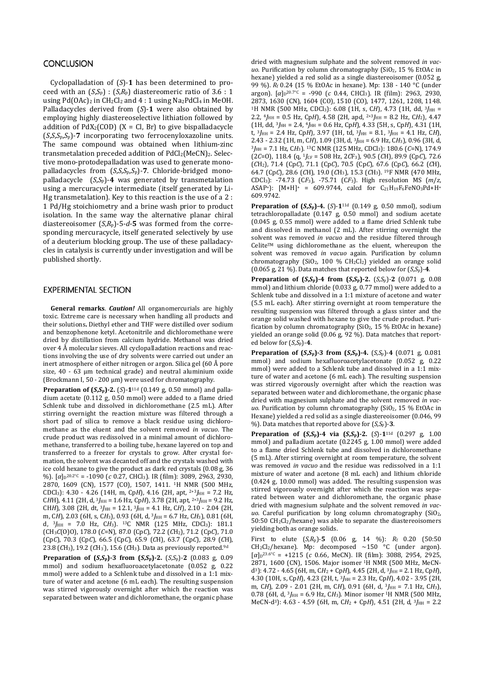### **CONCLUSION**

Cyclopalladation of (*S*)-**1** has been determined to proceed with an  $(S, S_p)$ :  $(S, R_p)$  diastereomeric ratio of 3.6 : 1 using  $Pd(OAc)_2$  in  $CH_2Cl_2$  and  $4:1$  using  $Na_2PdCl_4$  in MeOH. Palladacycles derived from (*S*)-**1** were also obtained by employing highly diastereoselective lithiation followed by addition of  $PdX_2(COD)$  (X = Cl, Br) to give bispalladacycle (*S*,*S*,*S*p,*S*p)-**7** incorporating two ferrocenyloxazoline units. The same compound was obtained when lithium-zinc transmetalation preceded addition of PdCl2(MeCN)2. Selective mono-protodepalladation was used to generate monopalladacycles from (*S*,*S*,*S*p,*S*p)-**7**. Chloride-bridged monopalladacycle (*S*,*S*p)-**4** was generated by transmetalation using a mercuracycle intermediate (itself generated by Li-Hg transmetalation). Key to this reaction is the use of a 2 : 1 Pd/Hg stoichiometry and a brine wash prior to product isolation. In the same way the alternative planar chiral diastereoisomer (*S*,*R*p)-5-*d*-**5** was formed from the corresponding mercuracycle, itself generated selectively by use of a deuterium blocking group. The use of these palladacycles in catalysis is currently under investigation and will be published shortly.

### **EXPERIMENTAL SECTION**

**General remarks**. *Caution!* All organomercurials are highly toxic. Extreme care is necessary when handling all products and their solutions**.** Diethyl ether and THF were distilled over sodium and benzophenone ketyl. Acetonitrile and dichloromethane were dried by distillation from calcium hydride. Methanol was dried over 4 Å molecular sieves. All cyclopalladation reactions and reactions involving the use of dry solvents were carried out under an inert atmosphere of either nitrogen or argon. Silica gel (60 Å pore size, 40 - 63 µm technical grade) and neutral aluminium oxide (Brockmann I, 50 - 200 µm) were used for chromatography.

**Preparation of**  $(S, S_p)$ **-2.** (*S*)-1<sup>11d</sup> (0.149 g, 0.50 mmol) and palladium acetate (0.112 g, 0.50 mmol) were added to a flame dried Schlenk tube and dissolved in dichloromethane (2.5 mL). After stirring overnight the reaction mixture was filtered through a short pad of silica to remove a black residue using dichloromethane as the eluent and the solvent removed *in vacuo*. The crude product was redissolved in a minimal amount of dichloromethane, transferred to a boiling tube, hexane layered on top and transferred to a freezer for crystals to grow. After crystal formation, the solvent was decanted off and the crystals washed with ice cold hexane to give the product as dark red crystals (0.08 g, 36 %). [*α*]<sub>D</sub><sup>20.2°c</sup> = -1090 (*c* 0.27, CHCl<sub>3</sub>). IR (film): 3089, 2963, 2930, 2870, 1609 (CN), 1577 (CO), 1507, 1411. 1H NMR (500 MHz, CDCl<sub>3</sub>): 4.30 - 4.26 (14H, m, CpH), 4.16 (2H, apt, <sup>2+3</sup>J<sub>HH</sub> = 7.2 Hz, CHH), 4.11 (2H, d, <sup>3</sup>J<sub>HH</sub> = 1.6 Hz, CpH), 3.78 (2H, apt, <sup>2+3</sup>J<sub>HH</sub> = 9.2 Hz, CH*H*), 3.08 (2H, dt, <sup>3</sup>*J*HH = 12.1, <sup>3</sup>*J*HH = 4.1 Hz, C*H*), 2.10 - 2.04 (2H, m, CH), 2.03 (6H, s, CH<sub>3</sub>), 0.93 (6H, d, <sup>3</sup>J<sub>HH</sub> = 6.7 Hz, CH<sub>3</sub>), 0.81 (6H, d, <sup>3</sup>*J*HH = 7.0 Hz, C*H*3). 13C NMR (125 MHz, CDCl3): 181.1 (CH3*C*(O)O), 178.0 (*C*=N), 87.0 (Cp*C*), 72.2 (*C*H2), 71.2 (Cp*C*), 71.0 (Cp*C*), 70.3 (Cp*C*), 66.5 (Cp*C*), 65.9 (*C*H), 63.7 (Cp*C*), 28.9 (*C*H), 23.8 (CH<sub>3</sub>), 19.2 (CH<sub>3</sub>'), 15.6 (CH<sub>3</sub>). Data as previously reported.<sup>9d</sup>

**Preparation of**  $(S, S_p)$ **-3 from**  $(S, S_p)$ **-2.**  $(S, S_p)$ -2 (0.083 g, 0.09) mmol) and sodium hexafluoroacetylacetonate (0.052 g, 0.22 mmol) were added to a Schlenk tube and dissolved in a 1:1 mixture of water and acetone (6 mL each). The resulting suspension was stirred vigorously overnight after which the reaction was separated between water and dichloromethane, the organic phase

dried with magnesium sulphate and the solvent removed *in vacuo*. Purification by column chromatography (SiO<sub>2</sub>, 15 % EtOAc in hexane) yielded a red solid as a single diastereoisomer (0.052 g, 99 %). *R*f 0.24 (15 % EtOAc in hexane). Mp: 138 - 140 °C (under argon). [*α*]<sub>D</sub><sup>20.7°C</sup> = -990 (*c* 0.44, CHCl<sub>3</sub>). IR (film): 2963, 2930, 2873, 1630 (CN), 1604 (CO), 1510 (CO), 1477, 1261, 1208, 1148. <sup>1</sup>H NMR (500 MHz, CDCl<sub>3</sub>): 6.08 (1H, s, CH), 4.73 (1H, dd, <sup>3</sup>/<sub>HH</sub> = 2.2,  $^{4}$ *HH* = 0.5 Hz, Cp*H*), 4.58 (2H, apd, <sup>2+3</sup>*I<sub>HH</sub>* = 8.2 Hz, C*H*<sub>2</sub>), 4.47 (1H, dd, <sup>3</sup>*J*HH = 2.4, <sup>4</sup>*J*HH = 0.6 Hz, Cp*H*), 4.33 (5H, s, Cp*H*), 4.31 (1H, t,  $3J_{HH} = 2.4$  Hz, CpH), 3.97 (1H, td,  $3J_{HH} = 8.1$ ,  $3J_{HH} = 4.1$  Hz, CH), 2.43 - 2.32 (1H, m, CH), 1.09 (3H, d, <sup>3</sup>*HH* = 6.9 Hz, CH<sub>3</sub>), 0.96 (3H, d,  $3J_{HH}$  = 7.1 Hz, CH<sub>3</sub>). <sup>13</sup>C NMR (125 MHz, CDCl<sub>3</sub>): 180.6 (C=N), 174.9 (2*C*=O), 118.4 (q, <sup>1</sup>*J*CF = 508 Hz, 2*C*F3), 90.5 (*C*H), 89.9 (Cp*C*), 72.6 (*C*H2), 71.4 (Cp*C*), 71.1 (Cp*C*), 70.5 (Cp*C*), 67.6 (Cp*C*), 66.2 (*C*H), 64.7 (Cp*C*), 28.6 (*C*H), 19.0 (*C*H3), 15.3 (*C*H3). 19F NMR (470 MHz, CDCl3): -74.73 (C*F*3), -75.71 (C*F*3). High resolution MS (*m*/*z*, ASAP<sup>+</sup>):  $[M+H]^+$  = 609.9744, calcd for  $C_{21}H_{19}F_6FeNO_3Pd+H^+$ 609.9742.

**Preparation of (***S***,***S***p)-4.** (*S*)-**1**11d (0.149 g, 0.50 mmol), sodium tetrachloropalladate (0.147 g, 0.50 mmol) and sodium acetate (0.045 g, 0.55 mmol) were added to a flame dried Schlenk tube and dissolved in methanol (2 mL). After stirring overnight the solvent was removed *in vacuo* and the residue filtered through CeliteTM using dichloromethane as the eluent, whereupon the solvent was removed *in vacuo* again. Purification by column chromatography (SiO<sub>2</sub>, 100 % CH<sub>2</sub>Cl<sub>2</sub>) yielded an orange solid (0.065 g, 21 %). Data matches that reported below for  $(S, S_p)$ -4.

**Preparation of (***S***,***S***p)-4 from (***S***,***S***p)-2.** (*S*,*S*p)-**2** (0.071 g, 0.08 mmol) and lithium chloride (0.033 g, 0.77 mmol) were added to a Schlenk tube and dissolved in a 1:1 mixture of acetone and water (5.5 mL each). After stirring overnight at room temperature the resulting suspension was filtered through a glass sinter and the orange solid washed with hexane to give the crude product. Purification by column chromatography ( $SiO<sub>2</sub>$ , 15 % EtOAc in hexane) yielded an orange solid (0.06 g, 92 %). Data matches that reported below for (*S*,*S*p)-**4**.

**Preparation of**  $(S, S_p)$ **-3 from**  $(S, S_p)$ **-4.**  $(S, S_p)$ -4  $(0.071 \text{ g}, 0.081 \text{ m})$ mmol) and sodium hexafluoroacetylacetonate (0.052 g, 0.22 mmol) were added to a Schlenk tube and dissolved in a 1:1 mixture of water and acetone (6 mL each). The resulting suspension was stirred vigorously overnight after which the reaction was separated between water and dichloromethane, the organic phase dried with magnesium sulphate and the solvent removed *in vacuo*. Purification by column chromatography (SiO2, 15 % EtOAc in Hexane) yielded a red solid as a single diastereoisomer (0.046, 99 %). Data matches that reported above for (*S*,*S*p)-**3**.

**Preparation of (***S***,***S***p)-4 via (***S***,***S***p)-2.** (*S*)-**1**11d (0.297 g, 1.00 mmol) and palladium acetate (0.2245 g, 1.00 mmol) were added to a flame dried Schlenk tube and dissolved in dichloromethane (5 mL). After stirring overnight at room temperature, the solvent was removed *in vacuo* and the residue was redissolved in a 1:1 mixture of water and acetone (8 mL each) and lithium chloride (0.424 g, 10.00 mmol) was added. The resulting suspension was stirred vigorously overnight after which the reaction was separated between water and dichloromethane, the organic phase dried with magnesium sulphate and the solvent removed *in vacuo*. Careful purification by long column chromatography (SiO2,  $50:50 \text{ CH}_2\text{Cl}_2$ /hexane) was able to separate the diastereoisomers yielding both as orange solids.

First to elute (*S*,*R*p)-**5** (0.06 g, 14 %): *R*f 0.20 (50:50  $CH_2Cl_2/h$ exane). Mp: decomposed ~150 °C (under argon). [*α*]<sub>D</sub><sup>23.6°C</sup> = +1215 (*c* 0.66, MeCN). IR (film): 3088, 2954, 2925, 2871, 1600 (CN), 1506. Major isomer 1H NMR (500 MHz, MeCNd3): 4.72 - 4.65 (6H, m, C*H*2 + Cp*H*), 4.45 (2H, d, 3*J*HH = 2.1 Hz, Cp*H*), 4.30 (10H, s, CpH), 4.23 (2H, t,  $3J_{HH}$  = 2.3 Hz, CpH), 4.02 - 3.95 (2H, m, C*H*), 2.09 - 2.01 (2H, m, C*H*), 0.91 (6H, d, <sup>3</sup>*J*HH = 7.1 Hz, C*H*3), 0.78 (6H, d,  ${}^{3}$ *H*<sub>H</sub> = 6.9 Hz, C*H*<sub>3</sub>). Minor isomer <sup>1</sup>H NMR (500 MHz, MeCN-d3): 4.63 - 4.59 (6H, m, C*H*2 + Cp*H*), 4.51 (2H, d, <sup>3</sup>*J*HH = 2.2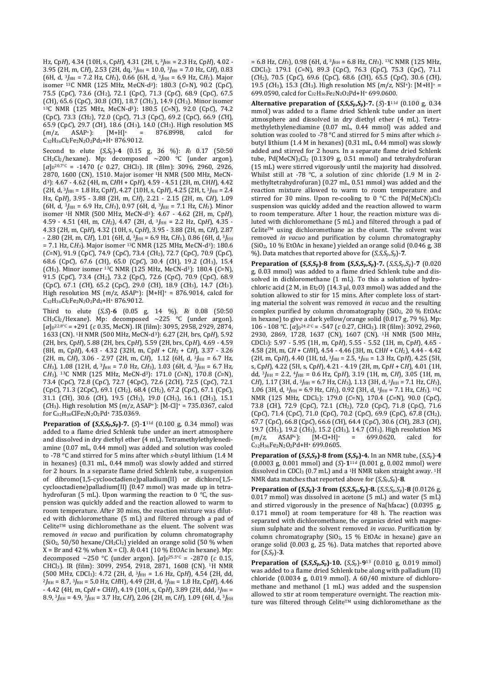Hz, Cp*H*), 4.34 (10H, s, Cp*H*), 4.31 (2H, t, 3*J*HH = 2.3 Hz, Cp*H*), 4.02 - 3.95 (2H, m, C*H*), 2.53 (2H, dq, <sup>3</sup>*J*HH = 10.0, <sup>3</sup>*J*HH = 7.0 Hz, C*H*), 0.83  $(6H, d, \frac{3}{HH} = 7.2$  Hz,  $CH_3$ ), 0.66 (6H, d,  $\frac{3}{HH} = 6.9$  Hz,  $CH_3$ ). Major isomer 13C NMR (125 MHz, MeCN-d3): 180.3 (*C*=N), 90.2 (Cp*C*), 75.5 (Cp*C*), 73.6 (*C*H2), 72.1 (Cp*C*), 71.3 (Cp*C*), 68.9 (Cp*C*), 67.5 (*C*H), 65.6 (Cp*C*), 30.8 (*C*H), 18.7 (*C*H<sup>3</sup> '), 14.9 (*C*H3). Minor isomer <sup>13</sup>C NMR (125 MHz, MeCN-d3): 180.5 (*C*=N), 92.0 (Cp*C*), 74.2 (Cp*C*), 73.3 (*C*H2), 72.0 (Cp*C*), 71.3 (Cp*C*), 69.2 (Cp*C*), 66.9 (*C*H), 65.9 (Cp*C*), 29.7 (*C*H), 18.6 (*C*H3), 14.0 (*C*H3). High resolution MS  $= 876.8998,$ C32H36Cl2Fe2N2O2Pd2+H+ 876.9012.

Second to elute (*S*,*S*p)-**4** (0.15 g, 36 %): *R*f 0.17 (50:50  $CH_2Cl_2/h$ exane). Mp: decomposed ~200 °C (under argon). [*α*]<sub>D</sub><sup>20.7°C</sup> = -1470 (*c* 0.27, CHCl<sub>3</sub>). IR (film): 3096, 2960, 2926, 2870, 1600 (CN), 1510. Major isomer 1H NMR (500 MHz, MeCNd3): 4.67 - 4.62 (4H, m, C*H*H + Cp*H*), 4.59 - 4.51 (2H, m, CH*H*), 4.42 (2H, d, 3*J*HH = 1.8 Hz, Cp*H*), 4.27 (10H, s, Cp*H*), 4.25 (2H, t, 3*J*HH = 2.4 Hz, Cp*H*), 3.95 - 3.88 (2H, m, C*H*), 2.21 - 2.15 (2H, m, C*H*), 1.09 (6H, d, <sup>3</sup>*J*HH = 6.9 Hz, C*H*3), 0.97 (6H, d, <sup>3</sup>*J*HH = 7.1 Hz, C*H*3). Minor isomer 1H NMR (500 MHz, MeCN-d3): 4.67 - 4.62 (2H, m, Cp*H*), 4.59 - 4.51 (4H, m, C*H*2), 4.47 (2H, d, 3*J*HH = 2.2 Hz, Cp*H*), 4.35 - 4.33 (2H, m, Cp*H*), 4.32 (10H, s, Cp*H*), 3.95 - 3.88 (2H, m, C*H*), 2.87  $-$  2.80 (2H, m, CH), 1.01 (6H, d, <sup>3</sup>*J*<sub>HH</sub> = 6.9 Hz, CH<sub>3</sub>), 0.86 (6H, d, <sup>3</sup>*J*<sub>HH</sub> = 7.1 Hz, C*H3*). Major isomer 13C NMR (125 MHz, MeCN-d3): 180.6 (*C*=N), 91.9 (Cp*C*), 74.9 (Cp*C*), 73.4 (*C*H2), 72.7 (Cp*C*), 70.9 (Cp*C*), 68.6 (Cp*C*), 67.6 (*C*H), 65.0 (Cp*C*), 30.4 (*C*H), 19.2 (*C*H3), 15.4 (*C*H3). Minor isomer 13C NMR (125 MHz, MeCN-d3): 180.4 (*C*=N), 91.5 (Cp*C*), 73.4 (*C*H2), 73.2 (Cp*C*), 72.6 (Cp*C*), 70.9 (Cp*C*), 68.9 (Cp*C*), 67.1 (*C*H), 65.2 (Cp*C*), 29.0 (*C*H), 18.9 (*C*H3), 14.7 (*C*H3). High resolution MS (*m*/*z*, ASAP+): [M+H]+ = 876.9014, calcd for C32H36Cl2Fe2N2O2Pd2+H+ 876.9012.

Third to elute (*S*,*S*)-**6** (0.05 g, 14 %). *R*f 0.08 (50:50  $CH_2Cl_2/$ Hexane). Mp: decomposed  $\sim$ 225 °C (under argon). [*α*]<sub>D</sub><sup>22.8°C</sup> = +291 (*c* 0.35, MeCN). IR (film): 3095, 2958, 2929, 2874, 1633 (CN). <sup>1</sup>H NMR (500 MHz, MeCN-d3): 6.27 (2H, brs, Cp*H*), 5.92 (2H, brs, Cp*H*), 5.88 (2H, brs, Cp*H*), 5.59 (2H, brs, Cp*H*), 4.69 - 4.59 (8H, m, Cp*H*), 4.43 - 4.32 (32H, m, Cp*H* + C*H*2 + C*H*), 3.37 - 3.26 (2H, m, CH), 3.06 - 2.97 (2H, m, CH), 1.12 (6H, d, <sup>3</sup>/<sub>HH</sub> = 6.7 Hz, CH<sub>3</sub>), 1.08 (12H, d, <sup>3</sup>*J*HH = 7.0 Hz, CH<sub>3</sub>), 1.03 (6H, d, <sup>3</sup>*J*HH = 6.7 Hz, C*H*3). 13C NMR (125 MHz, MeCN-d3): 171.0 (*C*=N), 170.8 (*C*=N), 73.4 (Cp*C*), 72.8 (Cp*C*), 72.7 (4Cp*C*), 72.6 (2*C*H), 72.5 (Cp*C*), 72.1 (Cp*C*), 71.3 (2Cp*C*), 69.1 (*C*H2), 68.4 (*C*H2), 67.2 (Cp*C*), 67.1 (Cp*C*), 31.1 (*C*H), 30.6 (*C*H), 19.5 (*C*H3), 19.0 (*C*H3), 16.1 (*C*H3), 15.1 (*C*H3). High resolution MS (*m*/*z*, ASAP+): [M-Cl]+ = 735.0367, calcd for C32H38ClFe2N2O2Pd+ 735.0369.

**Preparation of (***S***,***S***,***S***p,***S***p)-7.** (*S*)-**1**11d (0.100 g, 0.34 mmol) was added to a flame dried Schlenk tube under an inert atmosphere and dissolved in dry diethyl ether (4 mL). Tetramethylethylenediamine (0.07 mL, 0.44 mmol) was added and solution was cooled to -78 °C and stirred for 5 mins after which *s*-butyl lithium (1.4 M in hexanes) (0.31 mL, 0.44 mmol) was slowly added and stirred for 2 hours. In a separate flame dried Schlenk tube, a suspension of dibromo(1,5-cyclooctadiene)palladium(II) or dichloro(1,5 cyclooctadiene)palladium(II) (0.47 mmol) was made up in tetrahydrofuran (5 mL). Upon warming the reaction to 0 °C, the suspension was quickly added and the reaction allowed to warm to room temperature. After 30 mins, the reaction mixture was diluted with dichloromethane (5 mL) and filtered through a pad of  $C$ elite<sup>TM</sup> using dichloromethane as the eluent. The solvent was removed *in vacuo* and purification by column chromatography  $(SiO<sub>2</sub>, 50/50$  hexane/CH<sub>2</sub>Cl<sub>2</sub>) yielded an orange solid (50 % when  $X = Br$  and 42 % when  $X = Cl$ ).  $R_f$  0.41 (10 % EtOAc in hexane). Mp: decomposed ~250 °C (under argon). [*α*]<sub>D</sub><sup>25.5°C</sup> = -2870 (*c* 0.15, CHCl3). IR (film): 3099, 2954, 2918, 2871, 1608 (CN). 1H NMR (500 MHz, CDCl3): 4.72 (2H, d, <sup>3</sup>*J*HH = 1.6 Hz, Cp*H*), 4.54 (2H, dd, <sup>2</sup>*J*HH = 8.7, 3*J*HH = 5.0 Hz, C*H*H), 4.49 (2H, d, 3*J*HH = 1.8 Hz, Cp*H*), 4.46 - 4.42 (4H, m, CpH + CHH), 4.19 (10H, s, CpH), 3.89 (2H, ddd, <sup>3</sup>J<sub>HH</sub> = 8.9, <sup>3</sup>*J*HH = 4.9, <sup>3</sup>*J*HH = 3.7 Hz, C*H*), 2.06 (2H, m, C*H*), 1.09 (6H, d, <sup>3</sup>*J*HH

 $= 6.8$  Hz, CH<sub>3</sub>), 0.98 (6H, d, <sup>3</sup>*I*<sub>HH</sub> = 6.8 Hz, CH<sub>3</sub>). <sup>13</sup>C NMR (125 MHz, CDCl3): 179.1 (*C*=N), 89.3 (Cp*C*), 76.3 (Cp*C*), 75.3 (Cp*C*), 71.1 (*C*H2), 70.5 (Cp*C*), 69.6 (Cp*C*), 68.6 (*C*H), 65.5 (Cp*C*), 30.6 (*C*H), 19.5 (*C*H3), 15.3 (*C*H3). High resolution MS (*m*/*z*, NSI+): [M+H]+ = 699.0590, calcd for C32H36Fe2N2O2Pd+H+ 699.0600.

**Alternative preparation of (***S***,***S***,***S***p,***S***p)-7.** (*S*)-**1**11d (0.100 g, 0.34 mmol) was added to a flame dried Schlenk tube under an inert atmosphere and dissolved in dry diethyl ether (4 mL). Tetramethylethylenediamine (0.07 mL, 0.44 mmol) was added and solution was cooled to -78 °C and stirred for 5 mins after which *s*butyl lithium (1.4 M in hexanes) (0.31 mL, 0.44 mmol) was slowly added and stirred for 2 hours. In a separate flame dried Schlenk tube, Pd(MeCN)<sub>2</sub>Cl<sub>2</sub> (0.1309 g, 0.51 mmol) and tetrahydrofuran (15 mL) were stirred vigorously until the majority had dissolved. Whilst still at -78 °C, a solution of zinc chloride (1.9 M in 2methyltetrahydrofuran) (0.27 mL, 0.51 mmol) was added and the reaction mixture allowed to warm to room temperature and stirred for 30 mins. Upon re-cooling to 0 °C the Pd(MeCN)<sub>2</sub>Cl<sub>2</sub> suspension was quickly added and the reaction allowed to warm to room temperature. After 1 hour, the reaction mixture was diluted with dichloromethane (5 mL) and filtered through a pad of Celite™ using dichloromethane as the eluent. The solvent was removed *in vacuo* and purification by column chromatography (SiO2, 10 % EtOAc in hexane) yielded an orange solid (0.046 g, 38 %). Data matches that reported above for  $(S, S, S_p, S_p)$ -7.

Preparation of  $(S, S, S_p)$ -8 from  $(S, S, S_p, S_p)$ -7.  $(S, S, S_p, S_p)$ -7 (0.020 g, 0.03 mmol) was added to a flame dried Schlenk tube and dissolved in dichloromethane (1 mL). To this a solution of hydrochloric acid (2 M, in Et<sub>2</sub>O) (14.3  $\mu$ l, 0.03 mmol) was added and the solution allowed to stir for 15 mins. After complete loss of starting material the solvent was removed *in vacuo* and the resulting complex purified by column chromatography  $(SiO<sub>2</sub>, 20 % EtOAC)$ in hexane) to give a dark yellow/orange solid (0.017 g, 79 %). Mp: 106 - 108 °C. [*α*]<sub>D</sub><sup>24.2°C</sup> = -547 (*c* 0.27, CHCl<sub>3</sub>). IR (film): 3092, 2960, 2930, 2869, 1728, 1637 (CN), 1607 (CN). 1H NMR (500 MHz, CDCl3): 5.97 - 5.95 (1H, m, Cp*H*), 5.55 - 5.52 (1H, m, Cp*H*), 4.65 - 4.58 (2H, m, C*H* + C*H*H), 4.54 - 4.46 (3H, m, CH*H* + C*H*2), 4.44 - 4.42  $(2H, m, CpH)$ , 4.40  $(1H, td, \frac{3}{HH} = 2.5, \frac{4}{HH} = 1.3$  Hz, CpH), 4.25 (5H, s, Cp*H*), 4.22 (5H, s, Cp*H*), 4.21 - 4.19 (2H, m, Cp*H* + C*H*), 4.01 (1H, dd,  ${}^{3}$ *HH* = 2.2,  ${}^{4}$ *HH* = 0.6 Hz, Cp*H*), 3.19 (1H, m, C*H*), 3.05 (1H, m, C*H*), 1.17 (3H, d, 3*J*HH = 6.7 Hz, C*H*3), 1.13 (3H, d, 3*J*HH = 7.1 Hz, C*H*3), 1.06 (3H, d, 3*J*HH = 6.9 Hz, C*H*3), 0.92 (3H, d, 3*J*HH = 7.1 Hz, C*H*3). 13C NMR (125 MHz, CDCl3): 179.0 (*C*=N), 170.4 (*C*=N), 90.0 (Cp*C*), 73.8 (*C*H), 72.9 (Cp*C*), 72.1 (*C*H2), 72.0 (Cp*C*), 71.8 (Cp*C*), 71.6 (Cp*C*), 71.4 (Cp*C*), 71.0 (Cp*C*), 70.2 (Cp*C*), 69.9 (Cp*C*), 67.8 (*C*H2), 67.7 (Cp*C*), 66.8 (Cp*C*), 66.6 (*C*H), 64.4 (Cp*C*), 30.6 (*C*H), 28.3 (*C*H), 19.7 (*C*H3), 19.2 (*C*H3), 15.2 (*C*H3), 14.7 (*C*H3). High resolution MS (*m*/*z*, ASAP+): [M-Cl+H]+ = 699.0620, calcd for C32H36Fe2N2O2Pd+H+ 699.0605.

**Preparation of**  $(S, S, S_p)$ **-8 from**  $(S, S_p)$ **-4.** In an NMR tube,  $(S, S_p)$ -4 (0.0003 g, 0.001 mmol) and (*S*)-**1**11d (0.001 g, 0.002 mmol) were dissolved in CDCl3 (0.7 mL) and a 1H NMR taken straight away. 1H NMR data matches that reported above for  $(S, S_p, S_p)$ -8.

**Preparation of (***S***,***S***p)-3 from (***S***,***S***,***S***p,***S***p)-8.** (*S*,*S*,*S*p,*S*p)-**8** (0.0126 g, 0.017 mmol) was dissolved in acetone (5 mL) and water (5 mL) and stirred vigorously in the presence of Na(hfacac) (0.0395 g, 0.171 mmol) at room temperature for 48 h. The reaction was separated with dichloromethane, the organics dried with magnesium sulphate and the solvent removed *in vacuo*. Purification by column chromatography ( $SiO<sub>2</sub>$ , 15 % EtOAc in hexane) gave an orange solid (0.003 g, 25 %). Data matches that reported above for (*S*,*S*p)-**3**.

**Preparation of (***S***,***S***,***S***p,***S***p)-10.** (*S*,*S*p)-**9**<sup>13</sup> (0.010 g, 0.019 mmol) was added to a flame dried Schlenk tube along with palladium (II) chloride (0.0034 g, 0.019 mmol). A 60/40 mixture of dichloromethane and methanol (1 mL) was added and the suspension allowed to stir at room temperature overnight. The reaction mixture was filtered through Celite<sup>TM</sup> using dichloromethane as the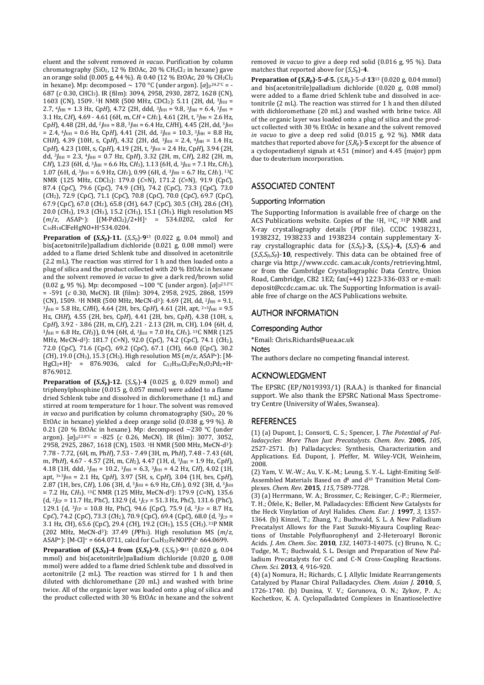eluent and the solvent removed *in vacuo*. Purification by column chromatography (SiO<sub>2</sub>, 12 % EtOAc, 20 % CH<sub>2</sub>Cl<sub>2</sub> in hexane) gave an orange solid (0.005 g, 44 %). *R*f 0.40 (12 % EtOAc, 20 % CH2Cl<sup>2</sup> in hexane). Mp: decomposed ~ 170 °C (under argon). [α]<sub>D</sub>24.2°<sup>c</sup> = -687 (*c* 0.30, CHCl3). IR (film): 3094, 2958, 2930, 2872, 1628 (CN), 1603 (CN), 1509. <sup>1</sup>H NMR (500 MHz, CDCl<sub>3</sub>): 5.11 (2H, dd, <sup>3</sup>/<sub>HH</sub> = 2.7,  $4J_{HH}$  = 1.3 Hz, CpH), 4.72 (2H, ddd,  $3J_{HH}$  = 9.8,  $3J_{HH}$  = 6.4,  $3J_{HH}$  = 3.1 Hz, CH), 4.69 - 4.61 (6H, m, CH + CH<sub>2</sub>), 4.61 (2H, t, <sup>3</sup>/<sub>HH</sub> = 2.6 Hz, Cp*H*), 4.48 (2H, dd, <sup>2</sup>*J*HH = 8.8, <sup>3</sup>*JHH* = 6.4 Hz, C*H*H), 4.45 (2H, dd, <sup>3</sup>*JHH*  $= 2.4, \frac{4}{H} = 0.6$  Hz, CpH, 4.41 (2H, dd,  $\frac{2}{H} = 10.3, \frac{3}{H} = 8.8$  Hz, CHH), 4.39 (10H, s, CpH), 4.32 (2H, dd, <sup>3</sup>J<sub>HH</sub> = 2.4, <sup>4</sup>J<sub>HH</sub> = 1.4 Hz,  $ChH$ ), 4.23 (10H, s,  $ChH$ ), 4.19 (2H, t,  $\frac{3}{HH}$  = 2.4 Hz,  $ChH$ ), 3.94 (2H, dd, <sup>3</sup>*J*HH = 2.3, <sup>4</sup>*J*HH = 0.7 Hz, Cp*H*), 3.32 (2H, m, C*H*), 2.82 (2H, m, C*H*), 1.23 (6H, d, 3*J*HH = 6.6 Hz, C*H*3), 1.13 (6H, d, 3*J*HH = 7.1 Hz, C*H*3), 1.07 (6H, d, 3*J*HH = 6.9 Hz, C*H*3), 0.99 (6H, d, 3*J*HH = 6.7 Hz, C*H*3). 13C NMR (125 MHz, CDCl3): 179.0 (*C*=N), 171.2 (*C*=N), 91.9 (Cp*C*), 87.4 (Cp*C*), 79.6 (Cp*C*), 74.9 (*C*H), 74.2 (Cp*C*), 73.3 (Cp*C*), 73.0 (*C*H2), 72.9 (Cp*C*), 71.1 (Cp*C*), 70.8 (Cp*C*), 70.0 (Cp*C*), 69.7 (Cp*C*), 67.9 (Cp*C*), 67.0 (*C*H2), 65.8 (*C*H), 64.7 (Cp*C*), 30.5 (*C*H), 28.6 (*C*H), 20.0 (*C*H3), 19.3 (*C*H3), 15.2 (*C*H3), 15.1 (*C*H3). High resolution MS (*m*/*z*, ASAP+): [(M-PdCl2)/2+H]+ = 534.0202, calcd for C16H18ClFeHgNO+H+534.0204.

**Preparation of**  $(S, S_p)$ **-11.**  $(S, S_p)$ -9<sup>13</sup> (0.022 g, 0.04 mmol) and bis(acetonitrile)palladium dichloride (0.021 g, 0.08 mmol) were added to a flame dried Schlenk tube and dissolved in acetonitrile (2.2 mL). The reaction was stirred for 1 h and then loaded onto a plug of silica and the product collected with 20 % EtOAc in hexane and the solvent removed *in vacuo* to give a dark red/brown solid (0.02 g, 95 %). Mp: decomposed ~100 °C (under argon). [*α*]<sub>D</sub><sup>23.2°C</sup> = -591 (*c* 0.30, MeCN). IR (film): 3094, 2958, 2925, 2868, 1599 (CN), 1509. <sup>1</sup>H NMR (500 MHz, MeCN-d3): 4.69 (2H, dd, 2*J*HH = 9.1,  $3J_{\text{HH}}$  = 5.8 Hz, CHH), 4.64 (2H, brs, CpH), 4.61 (2H, apt, <sup>2+3</sup> $J_{\text{HH}}$  = 9.5 Hz, CH*H*), 4.55 (2H, brs, Cp*H*), 4.41 (2H, brs, Cp*H*), 4.38 (10H, s, Cp*H*), 3.92 - 3.86 (2H, m, C*H*), 2.21 - 2.13 (2H, m, CH), 1.04 (6H, d, <sup>3</sup>*J*HH = 6.8 Hz, C*H*3)), 0.94 (6H, d, 3*J*HH = 7.0 Hz, C*H*3). 13C NMR (125 MHz, MeCN-d3): 181.7 (*C*=N), 92.0 (Cp*C*), 74.2 (Cp*C*), 74.1 (*C*H2), 72.0 (Cp*C*), 71.6 (Cp*C*), 69.2 (Cp*C*), 67.1 (*C*H), 66.0 (Cp*C*), 30.2  $(CH)$ , 19.0  $(CH_3)$ , 15.3  $(CH_3)$ . High resolution MS  $(m/z, ASAP^+)$ : [M-<br>HgCl<sub>2</sub>+Hl<sup>+</sup> = 876.9036 calcd for Ca2Ha6Cl2Fe2N2O2Pd2+H<sup>+</sup>  $B76.9036$ , calcd for  $C_{32}H_{36}Cl_{2}Fe_{2}N_{2}O_{2}Pd_{2}+H^{+}$ 876.9012.

**Preparation of**  $(S, S_p)$ **-12.**  $(S, S_p)$ -4  $(0.025 \text{ g}, 0.029 \text{ mmol})$  and triphenylphosphine (0.015 g, 0.057 mmol) were added to a flame dried Schlenk tube and dissolved in dichloromethane (1 mL) and stirred at room temperature for 1 hour. The solvent was removed *in vacuo* and purification by column chromatography (SiO2, 20 % EtOAc in hexane) yielded a deep orange solid (0.038 g, 99 %). *R*<sup>f</sup> 0.21 (20 % EtOAc in hexane). Mp: decomposed ~230 °C (under argon). [*α*]<sub>D</sub><sup>22.8°C</sup> = -825 (*c* 0.26, MeCN). IR (film): 3077, 3052, 2958, 2925, 2867, 1618 (CN), 1503. <sup>1</sup>H NMR (500 MHz, MeCN-d3): 7.78 - 7.72, (6H, m, Ph*H*), 7.53 - 7.49 (3H, m, Ph*H*), 7.48 - 7.43 (6H, m, Ph*H*), 4.67 - 4.57 (2H, m, C*H*<sub>2</sub>), 4.47 (1H, d, <sup>3</sup>*J*<sub>HH</sub> = 1.9 Hz, Cp*H*),  $4.18$  (1H, ddd,  $3I_{HH} = 10.2$ ,  $3I_{HH} = 6.3$ ,  $3I_{HH} = 4.2$  Hz, CH),  $4.02$  (1H) apt, 3+3*J*HH = 2.1 Hz, Cp*H*), 3.97 (5H, s, Cp*H*), 3.04 (1H, brs, Cp*H*), 2.87 (1H, brs, CH), 1.06 (3H, d, <sup>3</sup>*J*HH = 6.9 Hz, CH<sub>3</sub>), 0.92 (3H, d, <sup>3</sup>*J*HH = 7.2 Hz, C*H*3). 13C NMR (125 MHz, MeCN-d3): 179.9 (*C*=N), 135.6 (d, 2*J*CP = 11.7 Hz, Ph*C*), 132.9 (d, 1*J*CP = 51.3 Hz, Ph*C*), 131.6 (Ph*C*), 129.1 (d, <sup>3</sup>*J*CP = 10.8 Hz, Ph*C*), 94.6 (Cp*C*), 75.9 (d, <sup>3</sup>*J*CP = 8.7 Hz, Cp*C*), 74.2 (Cp*C*), 73.3 (*C*H2), 70.9 (Cp*C*), 69.4 (Cp*C*), 68.0 (d, <sup>3</sup>*J*CP = 3.1 Hz, *C*H), 65.6 (Cp*C*), 29.4 (*C*H), 19.2 (CH3), 15.5 (CH3). 31P NMR (202 MHz, MeCN-d3): 37.49 (*P*Ph3). High resolution MS (*m*/*z*, ASAP<sup>+</sup>): [M-Cl]<sup>+</sup> = 664.0711, calcd for C<sub>34</sub>H<sub>33</sub>FeNOPPd<sup>+</sup> 664.0699.

**Preparation of**  $(S, S_p)$ **-4 from**  $(S, S_p)$ **-9.**  $(S, S_p)$ -9<sup>13</sup> (0.020 g, 0.04 mmol) and bis(acetonitrile)palladium dichloride (0.020 g, 0.08 mmol) were added to a flame dried Schlenk tube and dissolved in acetonitrile (2 mL). The reaction was stirred for 1 h and then diluted with dichloromethane (20 mL) and washed with brine twice. All of the organic layer was loaded onto a plug of silica and the product collected with 30 % EtOAc in hexane and the solvent removed *in vacuo* to give a deep red solid (0.016 g, 95 %). Data matches that reported above for (*S*,*S*p)-**4**.

**Preparation of**  $(S,R_p)$ **-5-***d***-5.**  $(S,R_p)$ -5-*d*-13<sup>13</sup> (0.020 g, 0.04 mmol) and bis(acetonitrile)palladium dichloride (0.020 g, 0.08 mmol) were added to a flame dried Schlenk tube and dissolved in acetonitrile (2 mL). The reaction was stirred for 1 h and then diluted with dichloromethane (20 mL) and washed with brine twice. All of the organic layer was loaded onto a plug of silica and the product collected with 30 % EtOAc in hexane and the solvent removed *in vacuo* to give a deep red solid (0.015 g, 92 %). NMR data matches that reported above for  $(S, R_p)$ -5 except for the absence of a cyclopentadienyl signals at 4.51 (minor) and 4.45 (major) ppm due to deuterium incorporation.

## **ASSOCIATED CONTENT**

#### Supporting Information

The Supporting Information is available free of charge on the ACS Publications website. Copies of the 1H, 13C, 31P NMR and X-ray crystallography details (PDF file). CCDC 1938231, 1938232, 1938233 and 1938234 contain supplementary Xray crystallographic data for (*S,S*p)-**3,** (*S*,*S*p)-**4,** (*S*,*S*)-**6** and  $(S, S, S_p, S_p)$ -10, respectively. This data can be obtained free of charge via http://www.ccdc. cam.ac.uk/conts/retrieving.html, or from the Cambridge Crystallographic Data Centre, Union Road, Cambridge, CB2 1EZ; fax(+44) 1223-336-033 or e-mail: deposit@ccdc.cam.ac. uk. The Supporting Information is available free of charge on the ACS Publications website.

#### AUTHOR INFORMATION

#### Corresponding Author Corresponding Author

\*Email: Chris.Richards@uea.ac.uk

#### **Notes**

The authors declare no competing financial interest.

#### ACKNOWLEDGMENT

The EPSRC (EP/N019393/1) (R.A.A.) is thanked for financial support. We also thank the EPSRC National Mass Spectrometry Centre (University of Wales, Swansea).

#### REFERENCES

(1) (a) Dupont, J.; Consorti, C. S.; Spencer, J. *The Potential of Palladacycles: More Than Just Precatalysts*. *Chem. Rev*. **2005**, *105*, 2527-2571. (b) Palladacycles: Synthesis, Characterization and Applications. Ed. Dupont, J. Pfeffer, M. Wiley-VCH, Weinheim, 2008.

(2) Yam, V. W.-W.; Au, V. K.-M.; Leung, S. Y.-L. Light-Emiting Self-Assembled Materials Based on  $d^8$  and  $d^{10}$  Transition Metal Complexes. *Chem. Rev*. **2015**, *115*, 7589-7728.

(3) (a) Herrmann, W. A.; Brossmer, C.; Reisinger, C.-P.; Riermeier, T. H.; Öfele, K.; Beller, M. Palladacycles: Efficient New Catalysts for the Heck Vinylation of Aryl Halides. *Chem. Eur. J.* **1997**, *3*, 1357- 1364. (b) Kinzel, T.; Zhang, Y.; Buchwald, S. L. A New Palladium Precatalyst Allows for the Fast Suzuki-Miyaura Coupling Reactions of Unstable Polyfluorophenyl and 2-Heteroaryl Boronic Acids. *J. Am. Chem. Soc.* **2010**, *132*, 14073-14075. (c) Bruno, N. C.; Tudge, M. T.; Buchwald, S. L. Design and Preparation of New Palladium Precatalysts for C-C and C-N Cross-Coupling Reactions. *Chem. Sci.* **2013**, *4*, 916-920.

(4) (a) Nomura, H.; Richards, C. J. Allylic Imidate Rearrangements Catalyzed by Planar Chiral Palladacycles. *Chem. Asian J*. **2010**, *5*, 1726-1740. (b) Dunina, V. V.; Gorunova, O. N.; Zykov, P. A.; Kochetkov, K. A. Cyclopalladated Complexes in Enantioselective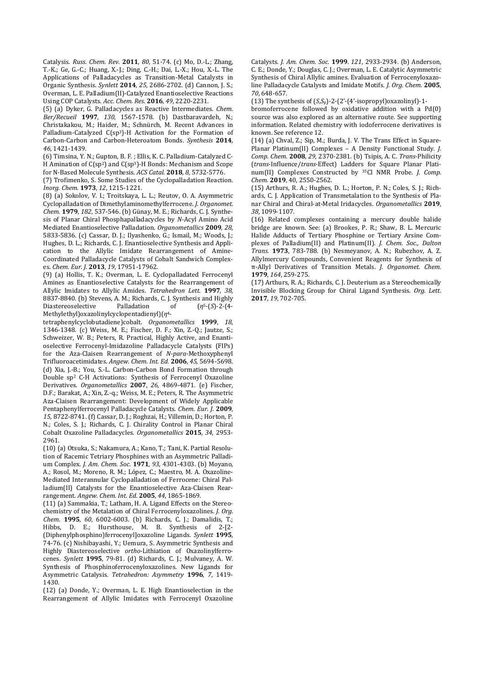Catalysis. *Russ. Chem. Rev*. **2011**, *80*, 51-74. (c) Mo, D.-L.; Zhang, T.-K.; Ge, G.-C.; Huang, X.-J.; Ding, C.-H.; Dai, L.-X.; Hou, X.-L. The Applications of Palladacycles as Transition-Metal Catalysts in Organic Synthesis. *Synlett* **2014**, *25*, 2686-2702. (d) Cannon, J. S.; Overman, L. E. Palladium(II)-Catalyzed Enantioselective Reactions Using COP Catalysts. *Acc. Chem. Res*. **2016**, *49*, 2220-2231.

(5) (a) Dyker, G. Palladacycles as Reactive Intermediates. *Chem. Ber/Recueil* **1997**, *130*, 1567-1578. (b) Dastbaravardeh, N.; Christakakou, M.; Haider, M.; Schnürch, M. Recent Advances in Palladium-Catalyzed C(sp3)-H Activation for the Formation of Carbon-Carbon and Carbon-Heteroatom Bonds. *Synthesis* **2014**, *46*, 1421-1439.

(6) Timsina, Y. N.; Gupton, B. F. ; Ellis, K. C. Palladium-Catalyzed C-H Amination of C(sp<sup>2</sup>) and C(sp<sup>3</sup>)-H Bonds: Mechanism and Scope for N-Based Molecule Synthesis. *ACS Catal.* **2018**, *8*, 5732-5776.

(7) Trofimenko, S. Some Studies of the Cyclopalladation Reaction. *Inorg. Chem.* **1973**, *12*, 1215-1221.

(8) (a) Sokolov, V. I.; Troitskaya, L. L.; Reutov, O. A. Asymmetric Cyclopalladation of Dimethylaminomethylferrocene. *J. Organomet. Chem.* **1979**, *182*, 537-546. (b) Günay, M. E.; Richards, C. J. Synthesis of Planar Chiral Phosphapalladacycles by *N*-Acyl Amino Acid Mediated Enantioselective Palladation. *Organometallics* **2009**, *28*, 5833-5836. (c) Cassar, D. J.; Ilyashenko, G.; Ismail, M.; Woods, J.; Hughes, D. L.; Richards, C. J. Enantioselective Synthesis and Application to the Allylic Imidate Rearrangement of Amine-Coordinated Palladacycle Catalysts of Cobalt Sandwich Complexes. *Chem. Eur. J.* **2013**, *19*, 17951-17962.

(9) (a) Hollis, T. K.; Overman, L. E. Cyclopalladated Ferrocenyl Amines as Enantioselective Catalysts for the Rearrangement of Allylic Imidates to Allylic Amides. *Tetrahedron Lett.* **1997**, *38*, 8837-8840. (b) Stevens, A. M.; Richards, C. J. Synthesis and Highly<br>Diastereoselective Palladation of  $(n^5 - (5) - 2 - (4 - 1))$ Diastereoselective Palladation of (*η*<sup>5</sup>-(*S*)-2-(4- Methylethyl)oxazolinylcyclopentadienyl)(*η*4-

tetraphenylcyclobutadiene)cobalt. *Organometallics* **1999**, *18*, 1346-1348. (c) Weiss, M. E.; Fischer, D. F.; Xin, Z.-Q.; Jautze, S.; Schweizer, W. B.; Peters, R. Practical, Highly Active, and Enantioselective Ferrocenyl-Imidazoline Palladacycle Catalysts (FIPs) for the Aza-Claisen Rearrangement of *N-para*-Methoxyphenyl Trifluoroacetimidates. *Angew. Chem. Int. Ed*. **2006**, *45*, 5694-5698. (d) Xia, J.-B.; You, S.-L. Carbon-Carbon Bond Formation through Double sp2 C-H Activations: Synthesis of Ferrocenyl Oxazoline Derivatives. *Organometallics* **2007**, *26*, 4869-4871. (e) Fischer, D.F.; Barakat, A.; Xin, Z.-q.; Weiss, M. E.; Peters, R. The Asymmetric Aza-Claisen Rearrangement: Development of Widely Applicable Pentaphenylferrocenyl Palladacycle Catalysts. *Chem. Eur. J*. **2009**, *15*, 8722-8741. (f) Cassar, D. J.; Roghzai, H.; Villemin, D.; Horton, P. N.; Coles, S. J.; Richards, C. J. Chirality Control in Planar Chiral Cobalt Oxazoline Palladacycles. *Organometallics* **2015**, *34*, 2953- 2961.

(10) (a) Otsuka, S.; Nakamura, A.; Kano, T.; Tani, K. Partial Resolution of Racemic Tetriary Phosphines with an Asymmetric Palladium Complex. *J. Am. Chem. Soc.* **1971**, *93*, 4301-4303. (b) Moyano, A.; Rosol, M.; Moreno, R. M.; López, C.; Maestro, M. A. Oxazoline-Mediated Interannular Cyclopalladation of Ferrocene: Chiral Palladium(II) Catalysts for the Enantioselective Aza-Claisen Rearrangement. *Angew. Chem. Int. Ed*. **2005**, *44*, 1865-1869.

(11) (a) Sammakia, T.; Latham, H. A. Ligand Effects on the Stereochemistry of the Metalation of Chiral Ferrocenyloxazolines. *J. Org. Chem*. **1995**, *60*, 6002-6003. (b) Richards, C. J.; Damalidis, T.; Hibbs, D. E.; Hursthouse, M. B. Synthesis of 2-[2- (Diphenylphosphino)ferrocenyl]oxazoline Ligands. *Synlett* **1995**, 74-76. (c) Nishibayashi, Y.; Uemura, S. Asymmetric Synthesis and Highly Diastereoselective *ortho*-Lithiation of Oxazolinylferrocenes. *Synlett* **1995**, 79-81. (d) Richards, C. J.; Mulvaney, A. W. Synthesis of Phosphinoferrocenyloxazolines. New Ligands for Asymmetric Catalysis. *Tetrahedron: Asymmetry* **1996**, *7*, 1419- 1430.

(12) (a) Donde, Y.; Overman, L. E. High Enantioselection in the Rearrangement of Allylic Imidates with Ferrocenyl Oxazoline

Catalysts*. J. Am. Chem. Soc.* **1999**. *121*, 2933-2934. (b) Anderson, C. E.; Donde, Y.; Douglas, C. J.; Overman, L. E. Catalytic Asymmetric Synthesis of Chiral Allylic amines. Evaluation of Ferrocenyloxazoline Palladacycle Catalysts and Imidate Motifs. *J. Org. Chem*. **2005**, *70*, 648-657.

(13) The synthesis of (*S*,*S*p)-2-(2'-(4'-isopropyl)oxazolinyl)-1-

bromoferrocene followed by oxidative addition with a Pd(0) source was also explored as an alternative route. See supporting information. Related chemistry with iodoferrocene derivatives is known. See reference 12.

(14) (a) Chval, Z.; Sip, M.; Burda, J. V. The Trans Effect in Square-Planar Platinum(II) Complexes – A Density Functional Study. *J. Comp. Chem.* **2008**, *29*, 2370-2381. (b) Tsipis, A. C. *Trans*-Philicity (*trans*-Influence/*trans*-Effect) Ladders for Square Planar Platinum(II) Complexes Constructed by 35Cl NMR Probe. *J. Comp. Chem.* **2019**, 40, 2550-2562.

(15) Arthurs, R. A.; Hughes, D. L.; Horton, P. N.; Coles, S. J.; Richards, C. J. Application of Transmetalation to the Synthesis of Planar Chiral and Chiral-at-Metal Iridacycles. *Organometallics* **2019**, *38*, 1099-1107.

(16) Related complexes containing a mercury double halide bridge are known. See: (a) Brookes, P. R.; Shaw, B. L. Mercuric Halide Adducts of Tertiary Phosphine or Tertiary Arsine Complexes of Palladium(II) and Platinum(II). *J. Chem. Soc., Dalton Trans.* **1973**, 783-788. (b) Nesmeyanov, A. N.; Rubezhov, A. Z. Allylmercury Compounds, Convenient Reagents for Synthesis of π-Allyl Derivatives of Transition Metals. *J. Organomet. Chem.* **1979**, *164*, 259-275.

(17) Arthurs, R. A.; Richards, C. J. Deuterium as a Stereochemically Invisible Blocking Group for Chiral Ligand Synthesis. *Org. Lett*. **2017**, *19*, 702-705.